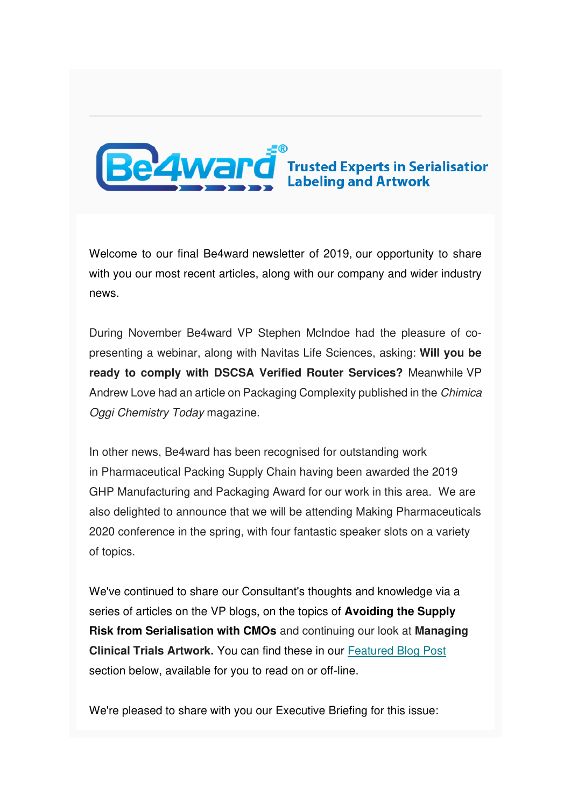

Welcome to our final Be4ward newsletter of 2019, our opportunity to share with you our most recent articles, along with our company and wider industry news.

During November Be4ward VP Stephen McIndoe had the pleasure of copresenting a webinar, along with Navitas Life Sciences, asking: **Will you be ready to comply with DSCSA Verified Router Services?** Meanwhile VP Andrew Love had an article on Packaging Complexity published in the Chimica Oggi Chemistry Today magazine.

In other news, Be4ward has been recognised for outstanding work in Pharmaceutical Packing Supply Chain having been awarded the 2019 GHP Manufacturing and Packaging Award for our work in this area. We are also delighted to announce that we will be attending Making Pharmaceuticals 2020 conference in the spring, with four fantastic speaker slots on a variety of topics.

We've continued to share our Consultant's thoughts and knowledge via a series of articles on the VP blogs, on the topics of **Avoiding the Supply Risk from Serialisation with CMOs** and continuing our look at **Managing Clinical Trials Artwork.** You can find these in our [Featured Blog Post](https://us5.admin.mailchimp.com/campaigns/preview-content-html?id=1383603#Blogs by Stephen)  section below, available for you to read on or off-line.

We're pleased to share with you our Executive Briefing for this issue: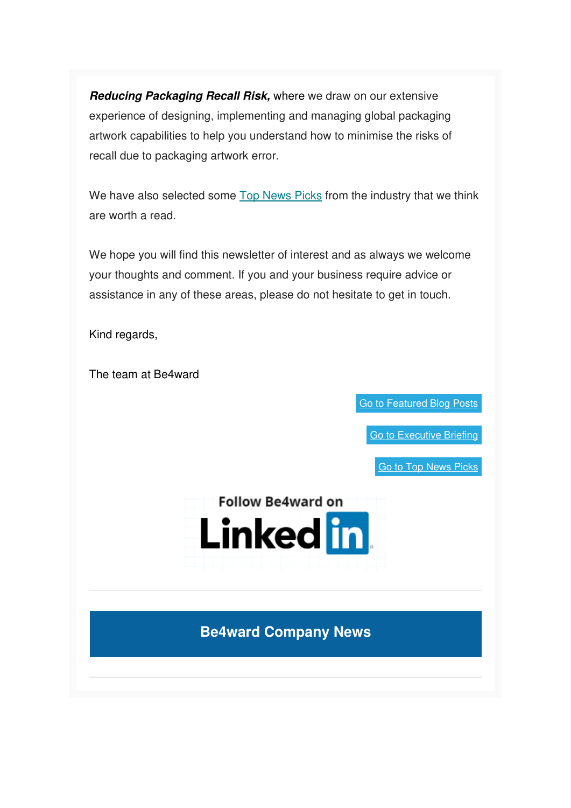**Reducing Packaging Recall Risk,** where we draw on our extensive experience of designing, implementing and managing global packaging artwork capabilities to help you understand how to minimise the risks of recall due to packaging artwork error.

We have also selected some [Top News Picks](https://us5.admin.mailchimp.com/campaigns/preview-content-html?id=1383603#TOPNEWSPICKS) from the industry that we think are worth a read.

We hope you will find this newsletter of interest and as always we welcome your thoughts and comment. If you and your business require advice or assistance in any of these areas, please do not hesitate to get in touch.

Kind regards,

The team at Be4ward

[Go to Featured Blog Posts](https://us5.admin.mailchimp.com/campaigns/preview-content-html?id=1383603#BLOGS BY Andrew)

[Go to Executive Briefing](https://us5.admin.mailchimp.com/campaigns/preview-content-html?id=1383603#EXECUTIVE BRIEFING)

[Go to Top News Picks](https://us5.admin.mailchimp.com/campaigns/preview-content-html?id=1383603#TOPNEWSPICKS)



**Be4ward Company News**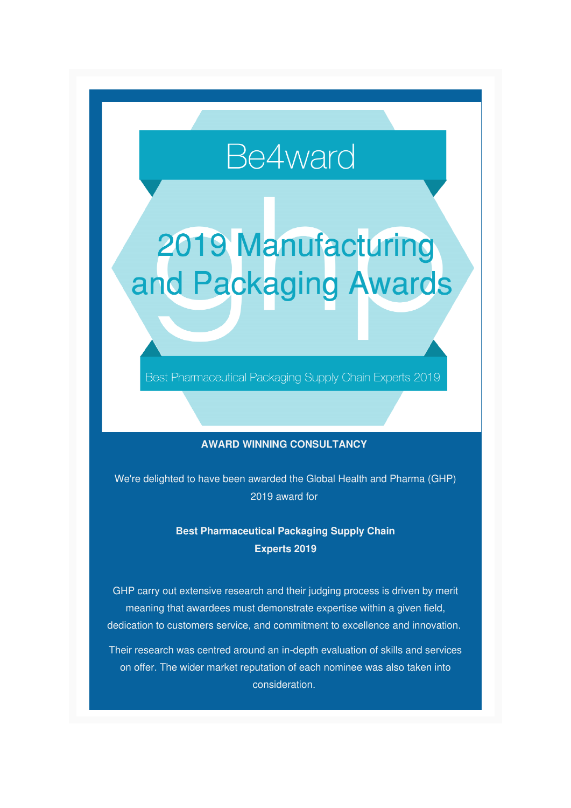# Be4ward

# 2019 Manufacturing and Packaging Awards

Best Pharmaceutical Packaging Supply Chain Experts 2019

#### **AWARD WINNING CONSULTANCY**

We're delighted to have been awarded the Global Health and Pharma (GHP) 2019 award for

#### **Best Pharmaceutical Packaging Supply Chain Experts 2019**

GHP carry out extensive research and their judging process is driven by merit meaning that awardees must demonstrate expertise within a given field, dedication to customers service, and commitment to excellence and innovation.

Their research was centred around an in-depth evaluation of skills and services on offer. The wider market reputation of each nominee was also taken into consideration.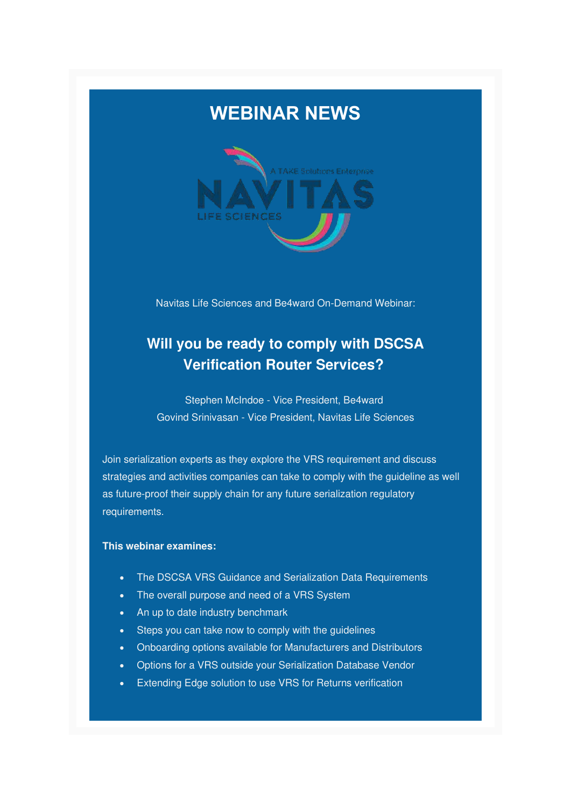



Navitas Life Sciences and Be4ward On-Demand Webinar:

### **Will you be ready to comply with DSCSA Verification Router Services?**

Stephen McIndoe - Vice President, Be4ward Govind Srinivasan - Vice President, Navitas Life Sciences

Join serialization experts as they explore the VRS requirement and discuss strategies and activities companies can take to comply with the guideline as well as future-proof their supply chain for any future serialization regulatory requirements.

#### **This webinar examines:**

- The DSCSA VRS Guidance and Serialization Data Requirements
- The overall purpose and need of a VRS System
- An up to date industry benchmark
- Steps you can take now to comply with the guidelines
- Onboarding options available for Manufacturers and Distributors
- Options for a VRS outside your Serialization Database Vendor
- Extending Edge solution to use VRS for Returns verification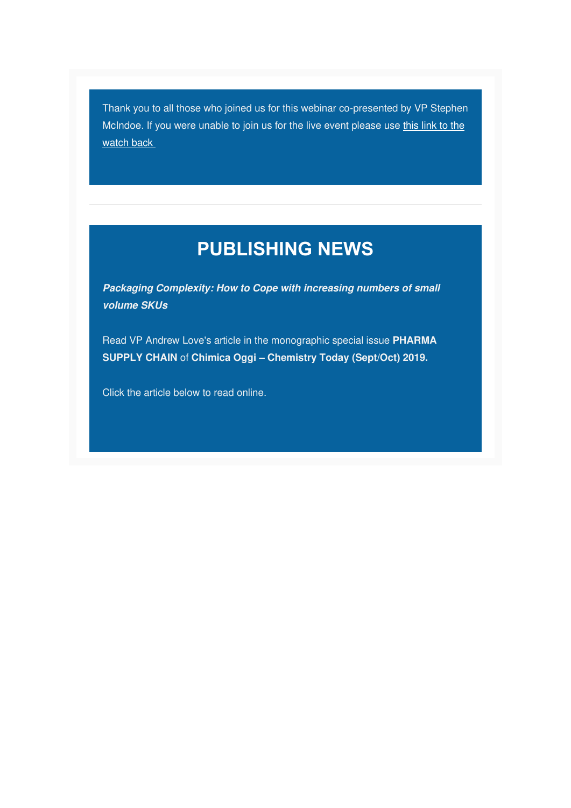Thank you to all those who joined us for this webinar co-presented by VP Stephen McIndoe. If you were unable to join us for the live event please use this link to the [watch back](https://navitaslifesciences.pages.salesfusion.com/On-Demand-Webinar-VRS-Webinar---November-14-2019?utm_source=website&utm_medium=post&utm_campaign=VRS) 

### **PUBLISHING NEWS**

**Packaging Complexity: How to Cope with increasing numbers of small volume SKUs** 

Read VP Andrew Love's article in the monographic special issue **PHARMA SUPPLY CHAIN** of **Chimica Oggi – Chemistry Today (Sept/Oct) 2019.**

Click the article below to read online.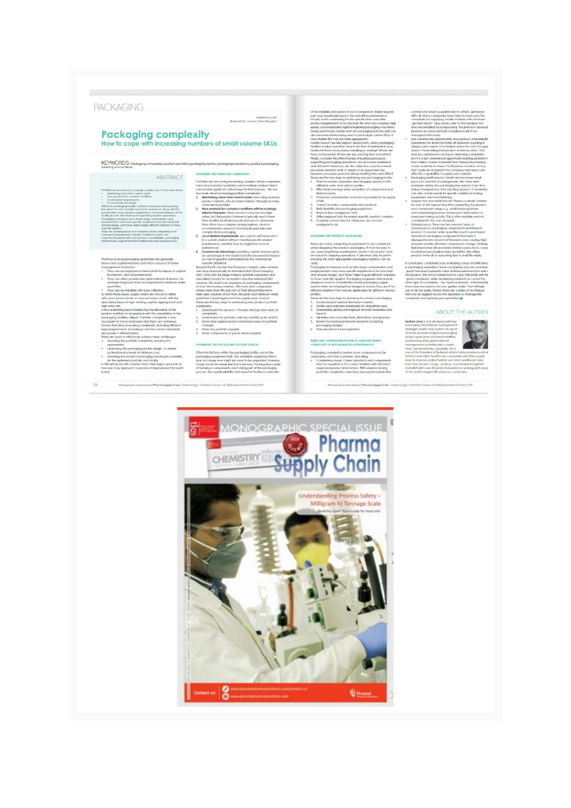#### PACKAGING.

Partistics are becoming increasing complex. Many componies<br>from broad product) particles seld in multiple masters which can provide significant advantage for that business. We see<br>from three increasing particle complexity.

1. Maakehinka wake loon camera asseki: Loucin'nya amany manying any ano better loucing and product vertexts, in our may meridde, the camera and the basebies of the product vertext in the product vertext of the product ver

changes<br>4. Prune the partfolio regularly<br>5. Share components or packs where possible

OPTIMUMO THE PACKAGING FACTURY DEVICH

Often the for suse within the packaging facility can be the packaging equipment that is to change any output but Cold, unstable equipment that is any red be the whole in the linear that the may not be the whole the the li

#### **Packaging complexity** How to cope with increasing numbers of small volume SKUs

KEYWORDS: Packaging complexity, product portfolio, packaging facility, packaging operations, product po ABSTRACT ASSESSING THE PORTFOLIO COMPLEXITY<br>Protection and according to the contract of the set of the set of the set of the set of the set of the set of the set of the set of the set of the set of the set of the set of th

 $\label{eq:1} \mbox{For this case, the according property for the first most of the two particles are not a nontrivial component of the two products. In this case, the two products are not a nontrivial component of the two products, the two products are not a nontrivial component of the two variables, the two points are not a nontrivial component of the two points. We have a nontrivial component of the two points, the two points are not a nontrivial component of the two points. In this case, the two points are not a nontrivial component of the two points. The two points are not a nontrivial point, the two points are not a nontrivial point, and the two points are not a nontrivial point, and the two points are not a nontrivial point, and the two points are not a nontrivial point, and the two points are not a nontrivial point, and the two points are not a nontrivial point, and the two points are$ 

- naceutical packaging operations are generally<br>r and capital intensive and other a source of senior<br>agement hustration:<br>represent business and all the senior of senior capital<br>represented, and sometimes both.<br>the senior dis
- 
- ppe ang saa mes or inappropriate minimum ora<br>trificis.<br>Trificis: an be inflexible with poor utilitation.<br>These issues, supply chains are forced to either<br>it service levels or carry excessive stack, with the<br>dissues of high

mochand Issues of high working capital, againg stock and<br>the symphonic state of the symphonic state in the symphonic state of<br>the symphonic state in the symphonic of the symphonic of the symphonic<br>conduct particle to be p

- 
- 

 $26$ Mon

ANDEEW IL 10VE<br>Beword Ltd., London, United Kinesha

of the relationly oncit<br>penetric excellence procedure and the relationship of the performance<br>performance is the performance, the consider performance, the consider in<br>generalistic base positive value of the performance c

- 
- 
- 
- 

#### ASSESSING THE PRODUCT PACKAGING

 $\begin{tabular}{l|p{0.8cm}} \hline \multicolumn{2}{c}{\multicolumn{2}{c}{\multicolumn{2}{c}{\multicolumn{2}{c}{\multicolumn{2}{c}{\multicolumn{2}{c}{\multicolumn{2}{c}{\multicolumn{2}{c}{\multicolumn{2}{c}{\multicolumn{2}{c}{\multicolumn{2}{c}{\multicolumn{2}{c}{\multicolumn{2}{c}{\multicolumn{2}{c}{\multicolumn{2}{c}{\multicolumn{2}{c}{\multicolumn{2}{c}{\multicolumn{2}{c}{\multicolumn{2}{c}{\multicolumn{2}{c}{\textbf{1}}}}}}}}}}\\ \hline \hline \hline \h$ 

rig me mas appropriate packaging soussers can be<br>sping techniques such as later stops customization assumes<br>conserned may have specific requirements for structure<br>where design, and these might require different solution<br>th .<br>In the key steps to assuaing the product packaging:

- These are the long-steps for a<br>summing the product pschaping  $L$ . Control broad variation be<br>integrated by the control of the state of the state and state and the<br>state of the state of the state of the state of the state
- 
- 

#### THERE ARE CONSEQUENCES FOR A COMPANY WHEN COMPLEXITY IS NOT MANAGED APPROPRIATELY

 $\begin{array}{lll} \textsc{COMPLIZITY} & \textsc{B} \textsc{OPI} \textsc{AAAAGGID} \textsc{APFQOPIAIRITY} \\ \textsc{Pochoglying} & \textsc{complexized} \textsc{adding} \textsc{A} \textsc{mod} \textsc{map} \textsc{cond} \textsc{for} \\ \textsc{complexed} & \textsc{complexed} \textsc{and} \textsc{Complexed} \textsc{end} \textsc{end} \\ & \begin{array}{ll} \textsc{complexed} & \textsc{in} \textsc{Complexed} \textsc{end} \\ \textsc{approxed} & \textsc{product} \textsc{in} \textsc{end} \textsc{end$ 

- control over whom is applied oned to where, gain more control to subsets, and the set of the control of the set of the control of the control of the control of the set of the procedure of the product procedure of the prod
- 
- 
- om un component de la proposa de la proposa de la proposa de la proposa de la proposa de la proposa de la proposa de la proposa de la proposa de la proposa de la proposa de la proposa de la proposa de la proposa de la prop

In conclusion, completely is an underlying cause of inefficient possible procedure and completely may be contributed from the contribution of the contribution of the contribution of the product of the product of the produ t will help

#### **ABOUT THE AUTHOR**



 $\begin{array}{l} \hbox{\it unconvex}} \\ \hbox{\it unconvex}} \\ \hbox{\it basic homot} \\ \hbox{\it basic nonconvex}} \\ \hbox{\it Inhomotonic} \\ \hbox{\it Inhomotonic} \\ \hbox{\it Inhomotonic} \\ \hbox{\it Inhomotonic} \\ \hbox{\it Inhomotonic} \\ \hbox{\it Inhomotonic} \\ \hbox{\it Inhomotonic} \\ \hbox{\it Inhomotonic} \\ \hbox{\it Inhomotonic} \\ \hbox{\it Inhomotonic} \\ \hbox{\it Inhomotonic} \\ \hbox{\it Inhomotonic} \\ \hbox{\it Inhomotonic} \\ \hbox{\it Inhomotonic} \\ \hbox{\it Inhomotonic} \\ \hbox{\it Inhom$ 

.<br>Chemistry Index and 37605ec

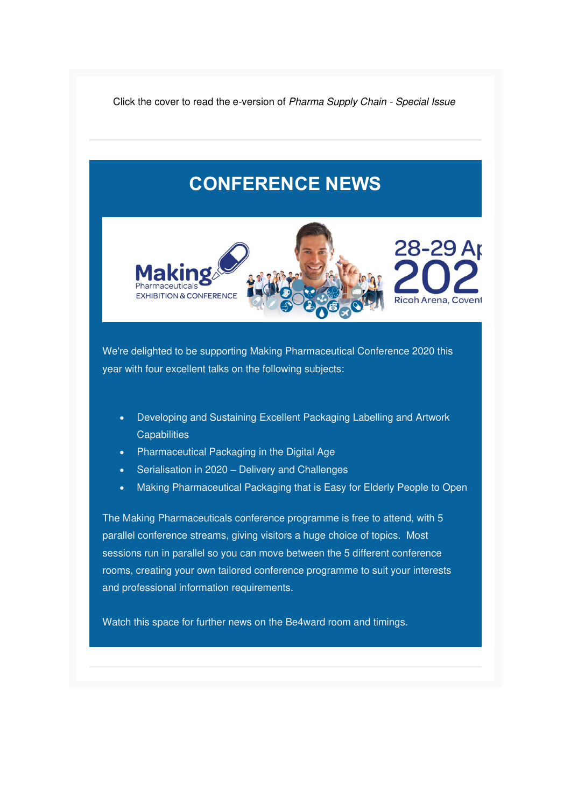Click the cover to read the e-version of Pharma Supply Chain - Special Issue

### **CONFERENCE NEWS**



We're delighted to be supporting Making Pharmaceutical Conference 2020 this year with four excellent talks on the following subjects:

- Developing and Sustaining Excellent Packaging Labelling and Artwork **Capabilities**
- Pharmaceutical Packaging in the Digital Age
- Serialisation in 2020 Delivery and Challenges
- Making Pharmaceutical Packaging that is Easy for Elderly People to Open

The Making Pharmaceuticals conference programme is free to attend, with 5 parallel conference streams, giving visitors a huge choice of topics. Most sessions run in parallel so you can move between the 5 different conference rooms, creating your own tailored conference programme to suit your interests and professional information requirements.

Watch this space for further news on the Be4ward room and timings.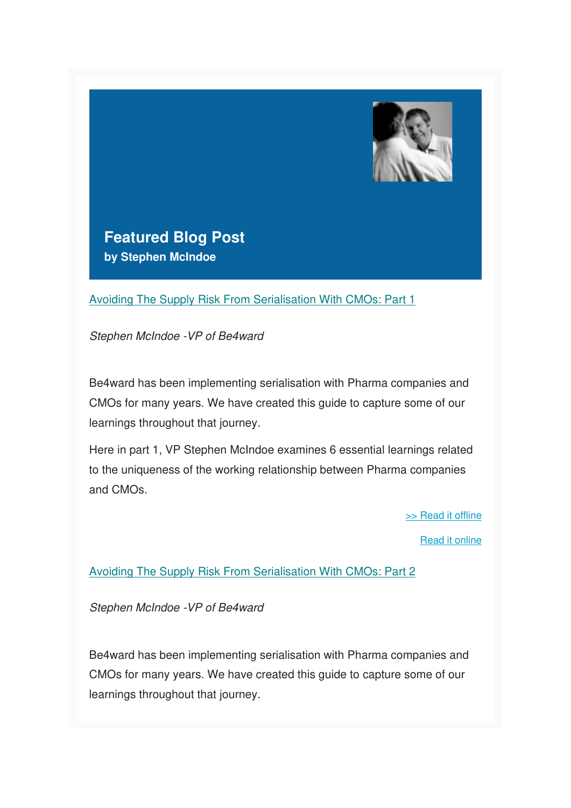

**Featured Blog Post by Stephen McIndoe**

[Avoiding The Supply Risk From Serialisation With CMOs: Part 1](https://www.be4ward.com/blogstephenmcindoe/2019/09/30/avoiding-the-supply-risk-from-serialisation-with-cmos-part-1-2/)

Stephen McIndoe -VP of Be4ward

Be4ward has been implementing serialisation with Pharma companies and CMOs for many years. We have created this guide to capture some of our learnings throughout that journey.

Here in part 1, VP Stephen McIndoe examines 6 essential learnings related to the uniqueness of the working relationship between Pharma companies and CMOs.

[>> Read it offline](https://us5.admin.mailchimp.com/campaigns/preview-content-html?id=1383603#SM Blog 1)

[Read it online](https://www.be4ward.com/blogstephenmcindoe/2019/09/30/avoiding-the-supply-risk-from-serialisation-with-cmos-part-1-2/)

[Avoiding The Supply Risk From Serialisation With CMOs: Part 2](https://www.be4ward.com/blogstephenmcindoe/2019/10/30/avoiding-the-supply-risk-from-serialisation-with-cmos-part-2-2/)

Stephen McIndoe -VP of Be4ward

Be4ward has been implementing serialisation with Pharma companies and CMOs for many years. We have created this guide to capture some of our learnings throughout that journey.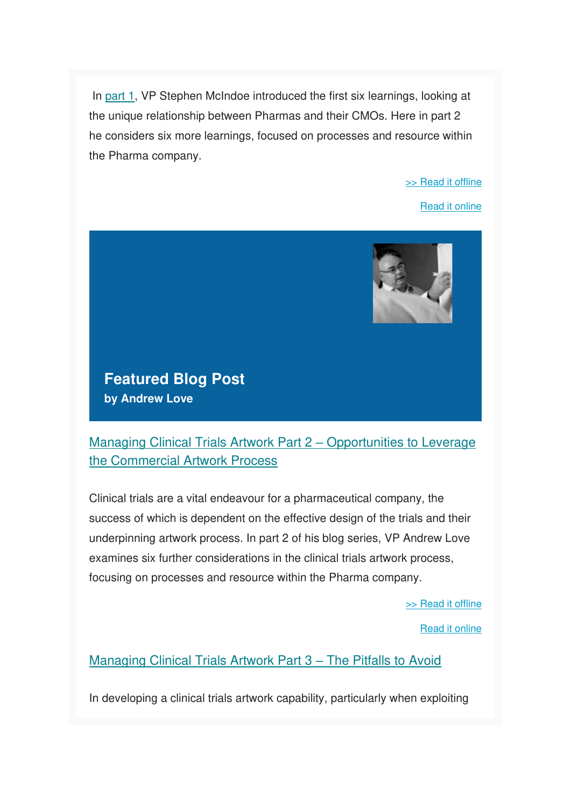In [part 1,](https://www.be4ward.com/blogstephenmcindoe/2019/09/30/avoiding-the-supply-risk-from-serialisation-with-cmos-part-1-2/) VP Stephen McIndoe introduced the first six learnings, looking at the unique relationship between Pharmas and their CMOs. Here in part 2 he considers six more learnings, focused on processes and resource within the Pharma company.

#### [>> Read it offline](https://us5.admin.mailchimp.com/campaigns/preview-content-html?id=1383603#SM Blog 2)

[Read it online](https://www.be4ward.com/blogstephenmcindoe/2019/10/30/avoiding-the-supply-risk-from-serialisation-with-cmos-part-2-2/)



### **Featured Blog Post by Andrew Love**

[Managing Clinical Trials Artwork Part 2](https://www.be4ward.com/blogandrewrlove/2019/10/31/managing-clinical-trials-artwork-part-2-opportunities-to-leverage-the-commercial-artwork-process/) – Opportunities to Leverage [the Commercial Artwork Process](https://www.be4ward.com/blogandrewrlove/2019/10/31/managing-clinical-trials-artwork-part-2-opportunities-to-leverage-the-commercial-artwork-process/)

Clinical trials are a vital endeavour for a pharmaceutical company, the success of which is dependent on the effective design of the trials and their underpinning artwork process. In part 2 of his blog series, VP Andrew Love examines six further considerations in the clinical trials artwork process, focusing on processes and resource within the Pharma company.

[>> Read it offline](https://us5.admin.mailchimp.com/campaigns/preview-content-html?id=1383603#AL Blog 1)

[Read it online](https://www.be4ward.com/blogandrewrlove/2019/10/31/managing-clinical-trials-artwork-part-2-opportunities-to-leverage-the-commercial-artwork-process/)

### [Managing Clinical Trials Artwork Part 3](https://www.be4ward.com/blogandrewrlove/2019/11/30/managing-clinical-trials-artwork-part-3-pitfalls-to-avoid/) – The Pitfalls to Avoid

In developing a clinical trials artwork capability, particularly when exploiting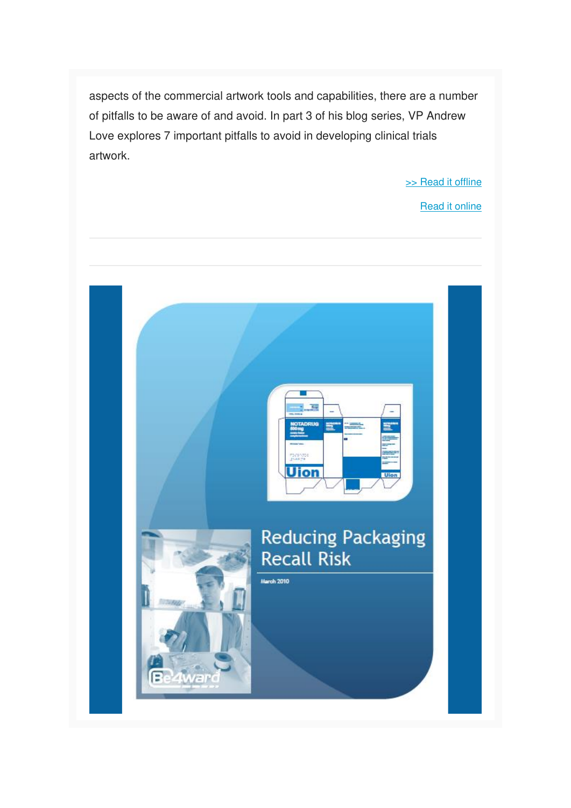aspects of the commercial artwork tools and capabilities, there are a number of pitfalls to be aware of and avoid. In part 3 of his blog series, VP Andrew Love explores 7 important pitfalls to avoid in developing clinical trials artwork.

[>> Read it offline](https://us5.admin.mailchimp.com/campaigns/preview-content-html?id=1383603#AL Blog 2)

[Read it online](https://www.be4ward.com/blogandrewrlove/2019/11/30/managing-clinical-trials-artwork-part-3-pitfalls-to-avoid/)

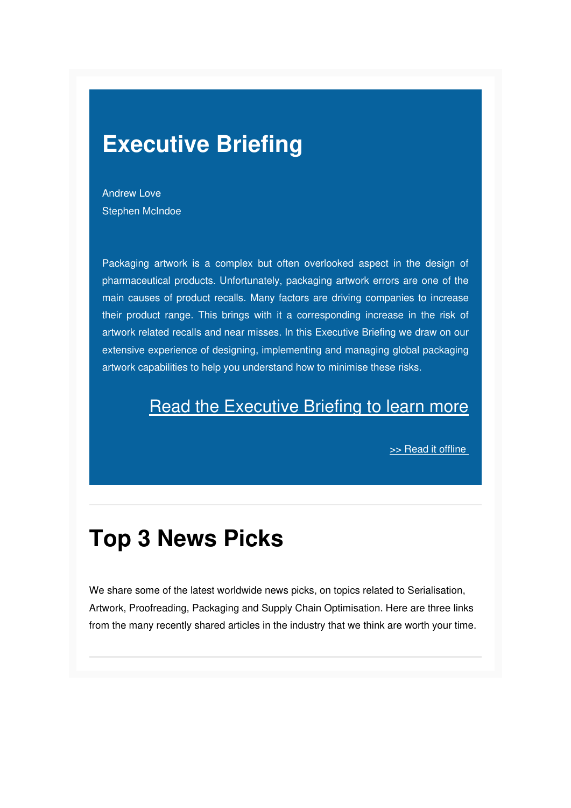### **Executive Briefing**

Andrew Love Stephen McIndoe

Packaging artwork is a complex but often overlooked aspect in the design of pharmaceutical products. Unfortunately, packaging artwork errors are one of the main causes of product recalls. Many factors are driving companies to increase their product range. This brings with it a corresponding increase in the risk of artwork related recalls and near misses. In this Executive Briefing we draw on our extensive experience of designing, implementing and managing global packaging artwork capabilities to help you understand how to minimise these risks.

### **[Read the Executive Briefing to learn more](https://gallery.mailchimp.com/e26c7f2af713739ac392fa0ba/files/24ca0cef-bd2b-448c-a378-06a246ab58d0/Be4ward_WP_Reducing_Packaging_Recall_Risk.pdf)**

[>> Read it offline](https://us5.admin.mailchimp.com/campaigns/preview-content-html?id=1383603#EXEC BRIEFING OFFLINE) 

## **Top 3 News Picks**

We share some of the latest worldwide news picks, on topics related to Serialisation, Artwork, Proofreading, Packaging and Supply Chain Optimisation. Here are three links from the many recently shared articles in the industry that we think are worth your time.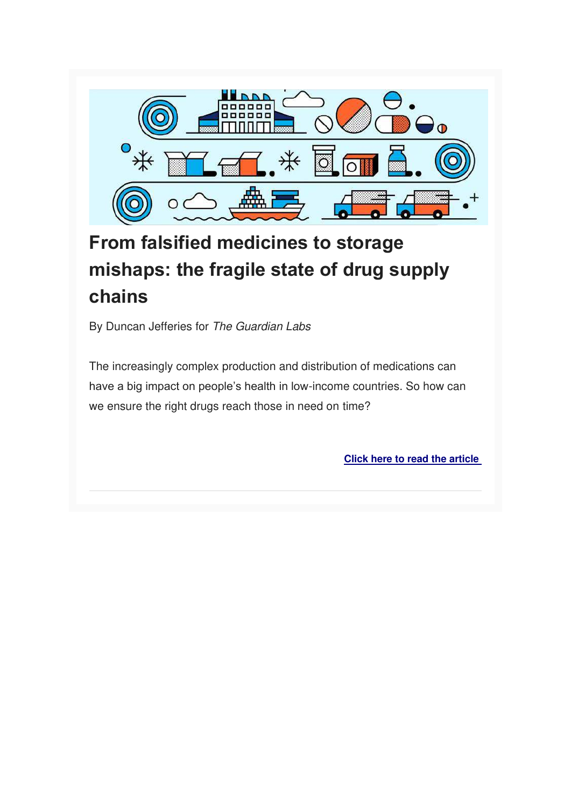

### **From falsified medicines to storage mishaps: the fragile state of drug supply chains**

By Duncan Jefferies for The Guardian Labs

The increasingly complex production and distribution of medications can have a big impact on people's health in low-income countries. So how can we ensure the right drugs reach those in need on time?

**[Click here to read the article](https://www.theguardian.com/global-health-progress/2019/nov/28/from-falsified-medicines-to-storage-mishaps-the-fragile-state-of-drug-supply-chains)**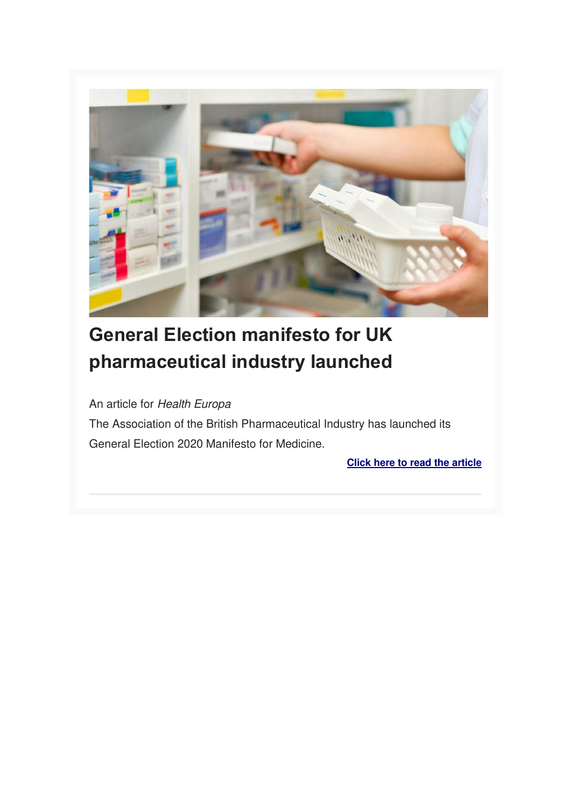

## **General Election manifesto for UK pharmaceutical industry launched**

An article for Health Europa

The Association of the British Pharmaceutical Industry has launched its General Election 2020 Manifesto for Medicine.

**[Click here to read the article](https://www.healtheuropa.eu/election-manifesto-for-uk-pharmaceutical-industry/94914/)**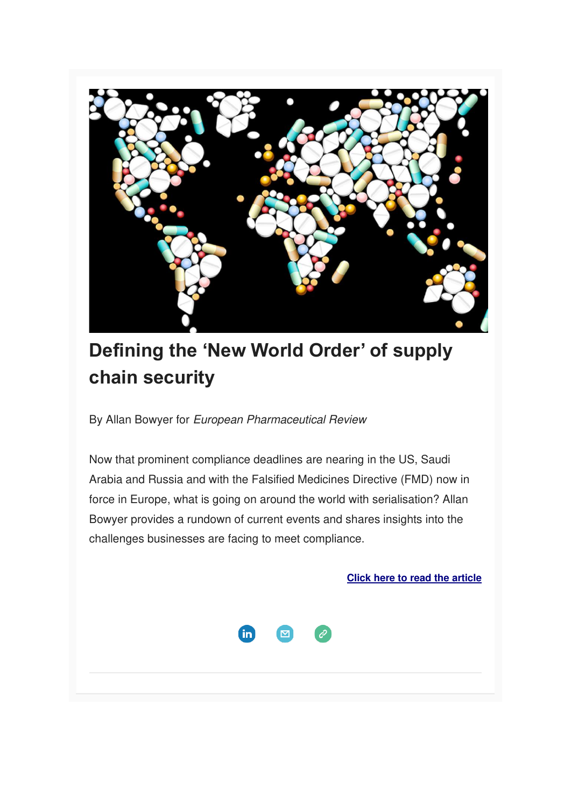

## **Defining the 'New World Order' of supply chain security**

By Allan Bowyer for European Pharmaceutical Review

Now that prominent compliance deadlines are nearing in the US, Saudi Arabia and Russia and with the Falsified Medicines Directive (FMD) now in force in Europe, what is going on around the world with serialisation? Allan Bowyer provides a rundown of current events and shares insights into the challenges businesses are facing to meet compliance.

**[Click here to read the article](https://www.europeanpharmaceuticalreview.com/article/103762/defining-the-new-world-order-of-supply-chain-security/)**

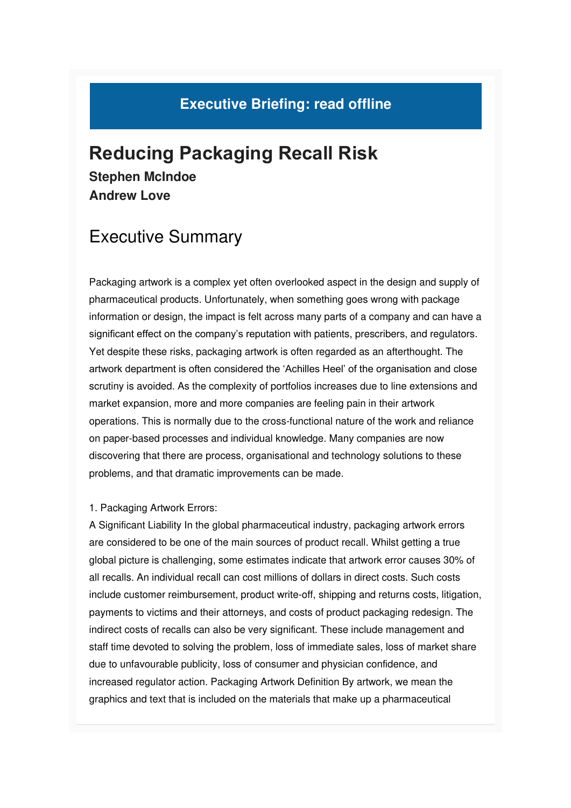### **Executive Briefing: read offline**

### **Reducing Packaging Recall Risk Stephen McIndoe Andrew Love**

### Executive Summary

Packaging artwork is a complex yet often overlooked aspect in the design and supply of pharmaceutical products. Unfortunately, when something goes wrong with package information or design, the impact is felt across many parts of a company and can have a significant effect on the company's reputation with patients, prescribers, and regulators. Yet despite these risks, packaging artwork is often regarded as an afterthought. The artwork department is often considered the 'Achilles Heel' of the organisation and close scrutiny is avoided. As the complexity of portfolios increases due to line extensions and market expansion, more and more companies are feeling pain in their artwork operations. This is normally due to the cross-functional nature of the work and reliance on paper-based processes and individual knowledge. Many companies are now discovering that there are process, organisational and technology solutions to these problems, and that dramatic improvements can be made.

#### 1. Packaging Artwork Errors:

A Significant Liability In the global pharmaceutical industry, packaging artwork errors are considered to be one of the main sources of product recall. Whilst getting a true global picture is challenging, some estimates indicate that artwork error causes 30% of all recalls. An individual recall can cost millions of dollars in direct costs. Such costs include customer reimbursement, product write-off, shipping and returns costs, litigation, payments to victims and their attorneys, and costs of product packaging redesign. The indirect costs of recalls can also be very significant. These include management and staff time devoted to solving the problem, loss of immediate sales, loss of market share due to unfavourable publicity, loss of consumer and physician confidence, and increased regulator action. Packaging Artwork Definition By artwork, we mean the graphics and text that is included on the materials that make up a pharmaceutical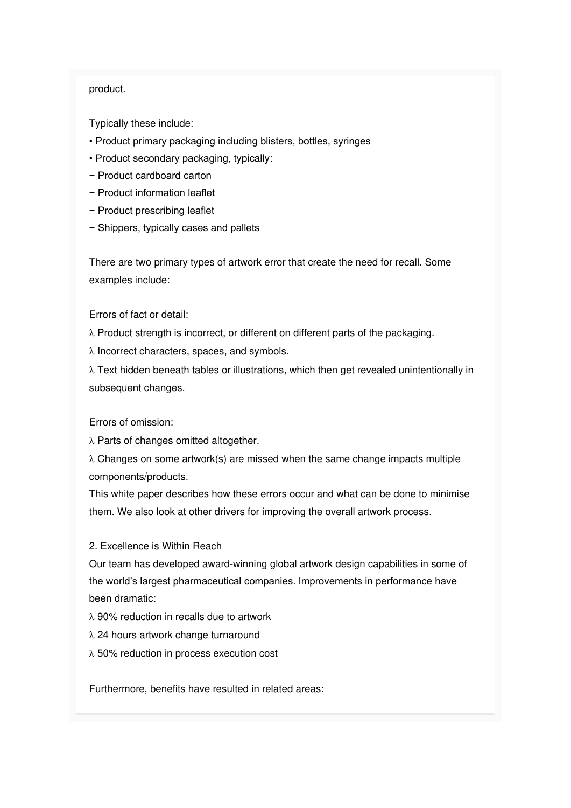#### product.

Typically these include:

- Product primary packaging including blisters, bottles, syringes
- Product secondary packaging, typically:
- − Product cardboard carton
- − Product information leaflet
- − Product prescribing leaflet
- − Shippers, typically cases and pallets

There are two primary types of artwork error that create the need for recall. Some examples include:

Errors of fact or detail:

- $\lambda$  Product strength is incorrect, or different on different parts of the packaging.
- $\lambda$  Incorrect characters, spaces, and symbols.

 $\lambda$  Text hidden beneath tables or illustrations, which then get revealed unintentionally in subsequent changes.

Errors of omission:

 $\lambda$  Parts of changes omitted altogether.

 $\lambda$  Changes on some artwork(s) are missed when the same change impacts multiple components/products.

This white paper describes how these errors occur and what can be done to minimise them. We also look at other drivers for improving the overall artwork process.

2. Excellence is Within Reach

Our team has developed award-winning global artwork design capabilities in some of the world's largest pharmaceutical companies. Improvements in performance have been dramatic:

- $\lambda$  90% reduction in recalls due to artwork
- $\lambda$  24 hours artwork change turnaround
- 50% reduction in process execution cost

Furthermore, benefits have resulted in related areas: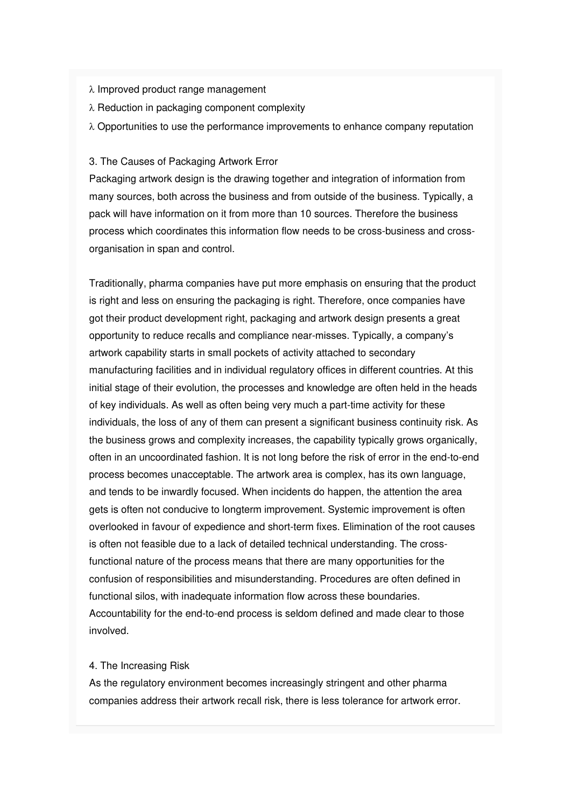#### $\lambda$  Improved product range management

- $\lambda$  Reduction in packaging component complexity
- $\lambda$  Opportunities to use the performance improvements to enhance company reputation

#### 3. The Causes of Packaging Artwork Error

Packaging artwork design is the drawing together and integration of information from many sources, both across the business and from outside of the business. Typically, a pack will have information on it from more than 10 sources. Therefore the business process which coordinates this information flow needs to be cross-business and crossorganisation in span and control.

Traditionally, pharma companies have put more emphasis on ensuring that the product is right and less on ensuring the packaging is right. Therefore, once companies have got their product development right, packaging and artwork design presents a great opportunity to reduce recalls and compliance near-misses. Typically, a company's artwork capability starts in small pockets of activity attached to secondary manufacturing facilities and in individual regulatory offices in different countries. At this initial stage of their evolution, the processes and knowledge are often held in the heads of key individuals. As well as often being very much a part-time activity for these individuals, the loss of any of them can present a significant business continuity risk. As the business grows and complexity increases, the capability typically grows organically, often in an uncoordinated fashion. It is not long before the risk of error in the end-to-end process becomes unacceptable. The artwork area is complex, has its own language, and tends to be inwardly focused. When incidents do happen, the attention the area gets is often not conducive to longterm improvement. Systemic improvement is often overlooked in favour of expedience and short-term fixes. Elimination of the root causes is often not feasible due to a lack of detailed technical understanding. The crossfunctional nature of the process means that there are many opportunities for the confusion of responsibilities and misunderstanding. Procedures are often defined in functional silos, with inadequate information flow across these boundaries. Accountability for the end-to-end process is seldom defined and made clear to those involved.

#### 4. The Increasing Risk

As the regulatory environment becomes increasingly stringent and other pharma companies address their artwork recall risk, there is less tolerance for artwork error.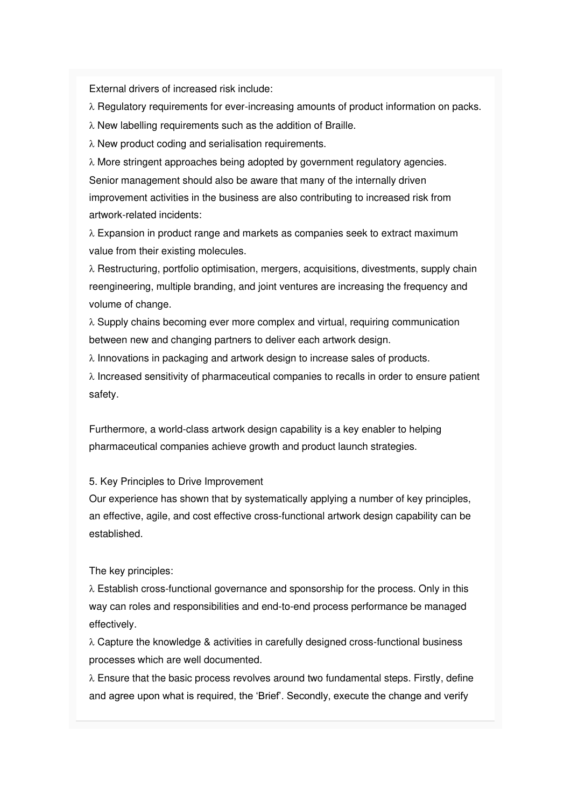External drivers of increased risk include:

 $\lambda$  Regulatory requirements for ever-increasing amounts of product information on packs.

 $\lambda$  New labelling requirements such as the addition of Braille.

 $\lambda$  New product coding and serialisation requirements.

 More stringent approaches being adopted by government regulatory agencies. Senior management should also be aware that many of the internally driven improvement activities in the business are also contributing to increased risk from artwork-related incidents:

 $\lambda$  Expansion in product range and markets as companies seek to extract maximum value from their existing molecules.

 $\lambda$  Restructuring, portfolio optimisation, mergers, acquisitions, divestments, supply chain reengineering, multiple branding, and joint ventures are increasing the frequency and volume of change.

 $\lambda$  Supply chains becoming ever more complex and virtual, requiring communication between new and changing partners to deliver each artwork design.

 $\lambda$  Innovations in packaging and artwork design to increase sales of products.

 $\lambda$  Increased sensitivity of pharmaceutical companies to recalls in order to ensure patient safety.

Furthermore, a world-class artwork design capability is a key enabler to helping pharmaceutical companies achieve growth and product launch strategies.

5. Key Principles to Drive Improvement

Our experience has shown that by systematically applying a number of key principles, an effective, agile, and cost effective cross-functional artwork design capability can be established.

The key principles:

 $\lambda$  Establish cross-functional governance and sponsorship for the process. Only in this way can roles and responsibilities and end-to-end process performance be managed effectively.

 $\lambda$  Capture the knowledge & activities in carefully designed cross-functional business processes which are well documented.

 $\lambda$  Ensure that the basic process revolves around two fundamental steps. Firstly, define and agree upon what is required, the 'Brief'. Secondly, execute the change and verify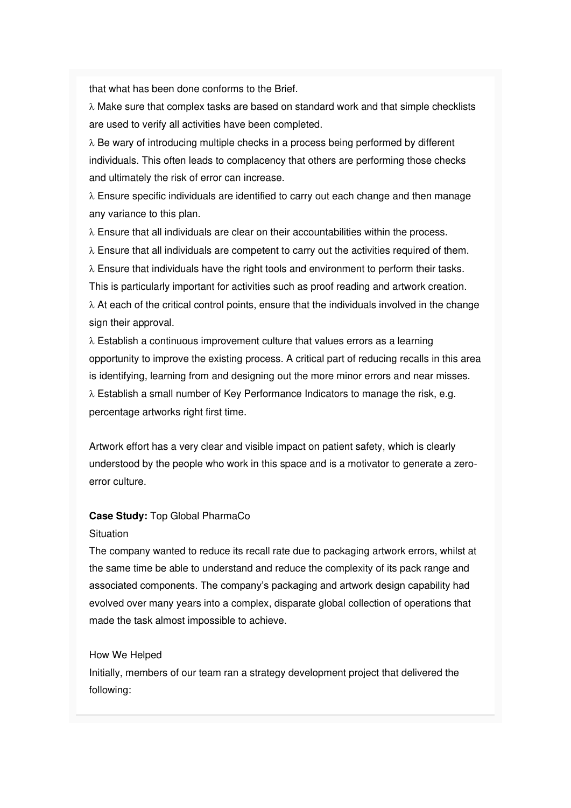that what has been done conforms to the Brief.

 $\lambda$  Make sure that complex tasks are based on standard work and that simple checklists are used to verify all activities have been completed.

 $\lambda$  Be wary of introducing multiple checks in a process being performed by different individuals. This often leads to complacency that others are performing those checks and ultimately the risk of error can increase.

 $\lambda$  Ensure specific individuals are identified to carry out each change and then manage any variance to this plan.

 $\lambda$  Ensure that all individuals are clear on their accountabilities within the process.

 $\lambda$  Ensure that all individuals are competent to carry out the activities required of them.

 $\lambda$  Ensure that individuals have the right tools and environment to perform their tasks. This is particularly important for activities such as proof reading and artwork creation.  $\lambda$  At each of the critical control points, ensure that the individuals involved in the change sign their approval.

 $\lambda$  Establish a continuous improvement culture that values errors as a learning opportunity to improve the existing process. A critical part of reducing recalls in this area is identifying, learning from and designing out the more minor errors and near misses.  $\lambda$  Establish a small number of Key Performance Indicators to manage the risk, e.g. percentage artworks right first time.

Artwork effort has a very clear and visible impact on patient safety, which is clearly understood by the people who work in this space and is a motivator to generate a zeroerror culture.

#### **Case Study:** Top Global PharmaCo

#### **Situation**

The company wanted to reduce its recall rate due to packaging artwork errors, whilst at the same time be able to understand and reduce the complexity of its pack range and associated components. The company's packaging and artwork design capability had evolved over many years into a complex, disparate global collection of operations that made the task almost impossible to achieve.

#### How We Helped

Initially, members of our team ran a strategy development project that delivered the following: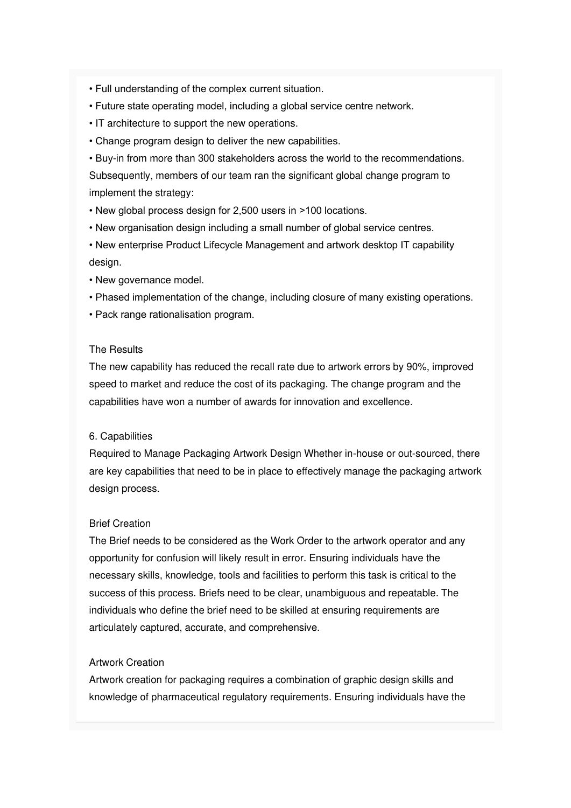- Full understanding of the complex current situation.
- Future state operating model, including a global service centre network.
- IT architecture to support the new operations.
- Change program design to deliver the new capabilities.

• Buy-in from more than 300 stakeholders across the world to the recommendations. Subsequently, members of our team ran the significant global change program to implement the strategy:

• New global process design for 2,500 users in >100 locations.

• New organisation design including a small number of global service centres.

• New enterprise Product Lifecycle Management and artwork desktop IT capability design.

- New governance model.
- Phased implementation of the change, including closure of many existing operations.
- Pack range rationalisation program.

#### The Results

The new capability has reduced the recall rate due to artwork errors by 90%, improved speed to market and reduce the cost of its packaging. The change program and the capabilities have won a number of awards for innovation and excellence.

#### 6. Capabilities

Required to Manage Packaging Artwork Design Whether in-house or out-sourced, there are key capabilities that need to be in place to effectively manage the packaging artwork design process.

#### Brief Creation

The Brief needs to be considered as the Work Order to the artwork operator and any opportunity for confusion will likely result in error. Ensuring individuals have the necessary skills, knowledge, tools and facilities to perform this task is critical to the success of this process. Briefs need to be clear, unambiguous and repeatable. The individuals who define the brief need to be skilled at ensuring requirements are articulately captured, accurate, and comprehensive.

#### Artwork Creation

Artwork creation for packaging requires a combination of graphic design skills and knowledge of pharmaceutical regulatory requirements. Ensuring individuals have the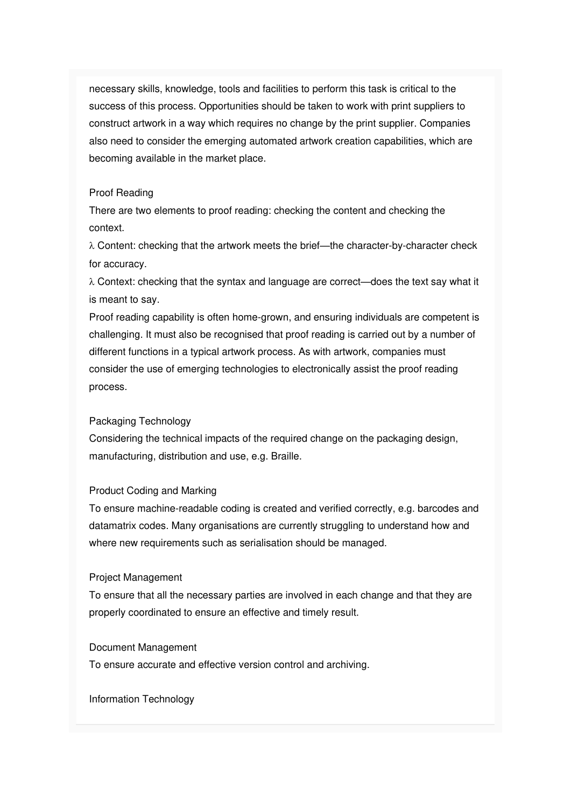necessary skills, knowledge, tools and facilities to perform this task is critical to the success of this process. Opportunities should be taken to work with print suppliers to construct artwork in a way which requires no change by the print supplier. Companies also need to consider the emerging automated artwork creation capabilities, which are becoming available in the market place.

#### Proof Reading

There are two elements to proof reading: checking the content and checking the context.

 $\lambda$  Content: checking that the artwork meets the brief—the character-by-character check for accuracy.

 $\lambda$  Context: checking that the syntax and language are correct—does the text say what it is meant to say.

Proof reading capability is often home-grown, and ensuring individuals are competent is challenging. It must also be recognised that proof reading is carried out by a number of different functions in a typical artwork process. As with artwork, companies must consider the use of emerging technologies to electronically assist the proof reading process.

#### Packaging Technology

Considering the technical impacts of the required change on the packaging design, manufacturing, distribution and use, e.g. Braille.

#### Product Coding and Marking

To ensure machine-readable coding is created and verified correctly, e.g. barcodes and datamatrix codes. Many organisations are currently struggling to understand how and where new requirements such as serialisation should be managed.

#### Project Management

To ensure that all the necessary parties are involved in each change and that they are properly coordinated to ensure an effective and timely result.

#### Document Management

To ensure accurate and effective version control and archiving.

Information Technology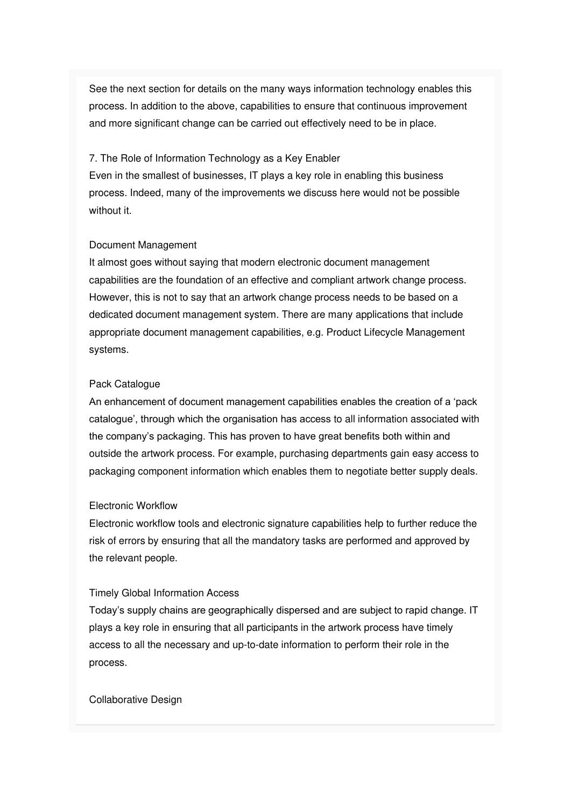See the next section for details on the many ways information technology enables this process. In addition to the above, capabilities to ensure that continuous improvement and more significant change can be carried out effectively need to be in place.

#### 7. The Role of Information Technology as a Key Enabler

Even in the smallest of businesses, IT plays a key role in enabling this business process. Indeed, many of the improvements we discuss here would not be possible without it.

#### Document Management

It almost goes without saying that modern electronic document management capabilities are the foundation of an effective and compliant artwork change process. However, this is not to say that an artwork change process needs to be based on a dedicated document management system. There are many applications that include appropriate document management capabilities, e.g. Product Lifecycle Management systems.

#### Pack Catalogue

An enhancement of document management capabilities enables the creation of a 'pack catalogue', through which the organisation has access to all information associated with the company's packaging. This has proven to have great benefits both within and outside the artwork process. For example, purchasing departments gain easy access to packaging component information which enables them to negotiate better supply deals.

#### Electronic Workflow

Electronic workflow tools and electronic signature capabilities help to further reduce the risk of errors by ensuring that all the mandatory tasks are performed and approved by the relevant people.

#### Timely Global Information Access

Today's supply chains are geographically dispersed and are subject to rapid change. IT plays a key role in ensuring that all participants in the artwork process have timely access to all the necessary and up-to-date information to perform their role in the process.

#### Collaborative Design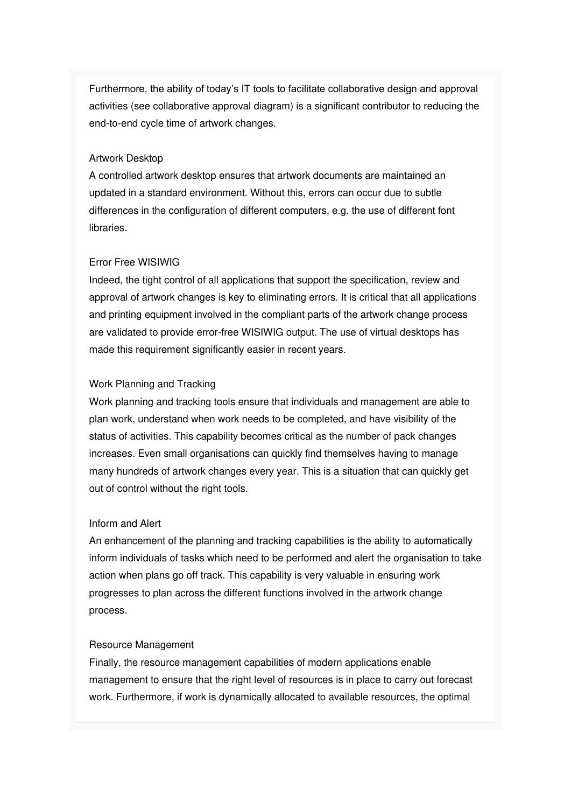Furthermore, the ability of today's IT tools to facilitate collaborative design and approval activities (see collaborative approval diagram) is a significant contributor to reducing the end-to-end cycle time of artwork changes.

#### Artwork Desktop

A controlled artwork desktop ensures that artwork documents are maintained an updated in a standard environment. Without this, errors can occur due to subtle differences in the configuration of different computers, e.g. the use of different font libraries.

#### Error Free WISIWIG

Indeed, the tight control of all applications that support the specification, review and approval of artwork changes is key to eliminating errors. It is critical that all applications and printing equipment involved in the compliant parts of the artwork change process are validated to provide error-free WISIWIG output. The use of virtual desktops has made this requirement significantly easier in recent years.

#### Work Planning and Tracking

Work planning and tracking tools ensure that individuals and management are able to plan work, understand when work needs to be completed, and have visibility of the status of activities. This capability becomes critical as the number of pack changes increases. Even small organisations can quickly find themselves having to manage many hundreds of artwork changes every year. This is a situation that can quickly get out of control without the right tools.

#### Inform and Alert

An enhancement of the planning and tracking capabilities is the ability to automatically inform individuals of tasks which need to be performed and alert the organisation to take action when plans go off track. This capability is very valuable in ensuring work progresses to plan across the different functions involved in the artwork change process.

#### Resource Management

Finally, the resource management capabilities of modern applications enable management to ensure that the right level of resources is in place to carry out forecast work. Furthermore, if work is dynamically allocated to available resources, the optimal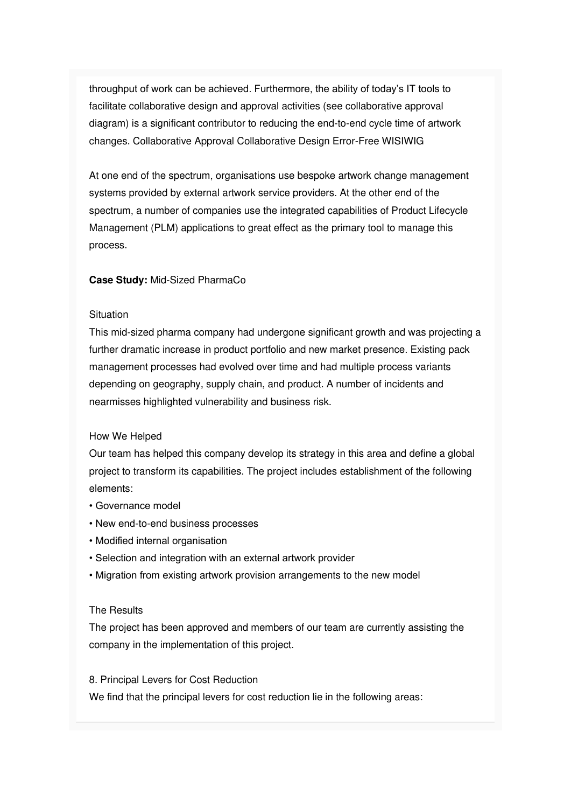throughput of work can be achieved. Furthermore, the ability of today's IT tools to facilitate collaborative design and approval activities (see collaborative approval diagram) is a significant contributor to reducing the end-to-end cycle time of artwork changes. Collaborative Approval Collaborative Design Error-Free WISIWIG

At one end of the spectrum, organisations use bespoke artwork change management systems provided by external artwork service providers. At the other end of the spectrum, a number of companies use the integrated capabilities of Product Lifecycle Management (PLM) applications to great effect as the primary tool to manage this process.

#### **Case Study:** Mid-Sized PharmaCo

#### **Situation**

This mid-sized pharma company had undergone significant growth and was projecting a further dramatic increase in product portfolio and new market presence. Existing pack management processes had evolved over time and had multiple process variants depending on geography, supply chain, and product. A number of incidents and nearmisses highlighted vulnerability and business risk.

#### How We Helped

Our team has helped this company develop its strategy in this area and define a global project to transform its capabilities. The project includes establishment of the following elements:

- Governance model
- New end-to-end business processes
- Modified internal organisation
- Selection and integration with an external artwork provider
- Migration from existing artwork provision arrangements to the new model

#### The Results

The project has been approved and members of our team are currently assisting the company in the implementation of this project.

#### 8. Principal Levers for Cost Reduction

We find that the principal levers for cost reduction lie in the following areas: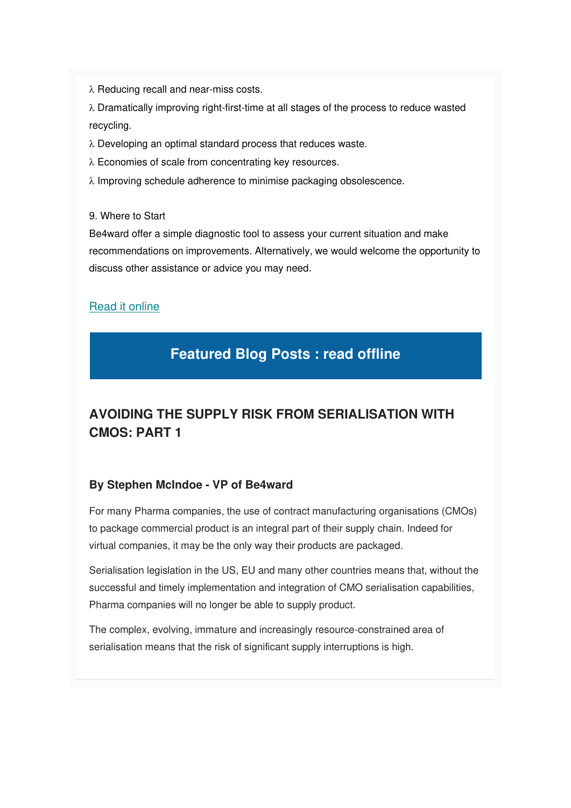$\lambda$  Reducing recall and near-miss costs.

 $\lambda$  Dramatically improving right-first-time at all stages of the process to reduce wasted recycling.

 $\lambda$  Developing an optimal standard process that reduces waste.

- $\lambda$  Economies of scale from concentrating key resources.
- $\lambda$  Improving schedule adherence to minimise packaging obsolescence.

9. Where to Start

Be4ward offer a simple diagnostic tool to assess your current situation and make recommendations on improvements. Alternatively, we would welcome the opportunity to discuss other assistance or advice you may need.

#### [Read it online](https://gallery.mailchimp.com/e26c7f2af713739ac392fa0ba/files/24ca0cef-bd2b-448c-a378-06a246ab58d0/Be4ward_WP_Reducing_Packaging_Recall_Risk.pdf)

### **Featured Blog Posts : read offline**

### **AVOIDING THE SUPPLY RISK FROM SERIALISATION WITH CMOS: PART 1**

#### **By Stephen McIndoe - VP of Be4ward**

For many Pharma companies, the use of contract manufacturing organisations (CMOs) to package commercial product is an integral part of their supply chain. Indeed for virtual companies, it may be the only way their products are packaged.

Serialisation legislation in the US, EU and many other countries means that, without the successful and timely implementation and integration of CMO serialisation capabilities, Pharma companies will no longer be able to supply product.

The complex, evolving, immature and increasingly resource-constrained area of serialisation means that the risk of significant supply interruptions is high.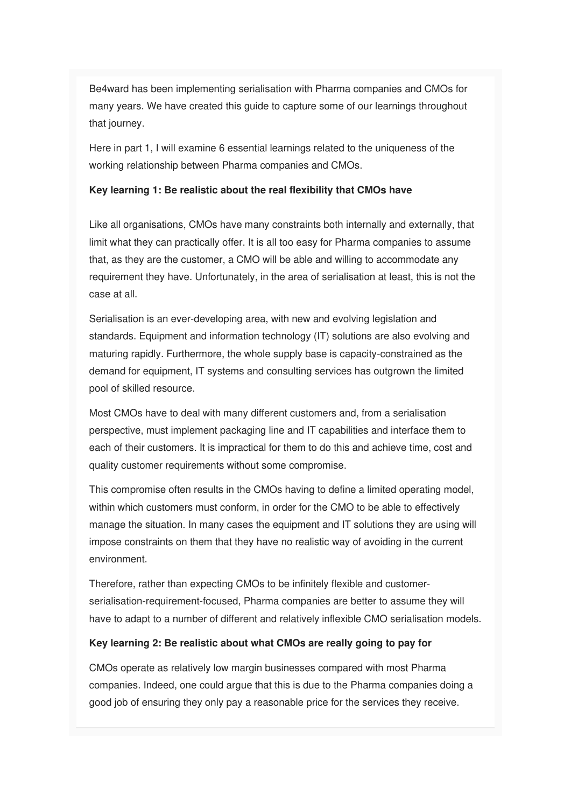Be4ward has been implementing serialisation with Pharma companies and CMOs for many years. We have created this guide to capture some of our learnings throughout that journey.

Here in part 1, I will examine 6 essential learnings related to the uniqueness of the working relationship between Pharma companies and CMOs.

#### **Key learning 1: Be realistic about the real flexibility that CMOs have**

Like all organisations, CMOs have many constraints both internally and externally, that limit what they can practically offer. It is all too easy for Pharma companies to assume that, as they are the customer, a CMO will be able and willing to accommodate any requirement they have. Unfortunately, in the area of serialisation at least, this is not the case at all.

Serialisation is an ever-developing area, with new and evolving legislation and standards. Equipment and information technology (IT) solutions are also evolving and maturing rapidly. Furthermore, the whole supply base is capacity-constrained as the demand for equipment, IT systems and consulting services has outgrown the limited pool of skilled resource.

Most CMOs have to deal with many different customers and, from a serialisation perspective, must implement packaging line and IT capabilities and interface them to each of their customers. It is impractical for them to do this and achieve time, cost and quality customer requirements without some compromise.

This compromise often results in the CMOs having to define a limited operating model, within which customers must conform, in order for the CMO to be able to effectively manage the situation. In many cases the equipment and IT solutions they are using will impose constraints on them that they have no realistic way of avoiding in the current environment.

Therefore, rather than expecting CMOs to be infinitely flexible and customerserialisation-requirement-focused, Pharma companies are better to assume they will have to adapt to a number of different and relatively inflexible CMO serialisation models.

#### **Key learning 2: Be realistic about what CMOs are really going to pay for**

CMOs operate as relatively low margin businesses compared with most Pharma companies. Indeed, one could argue that this is due to the Pharma companies doing a good job of ensuring they only pay a reasonable price for the services they receive.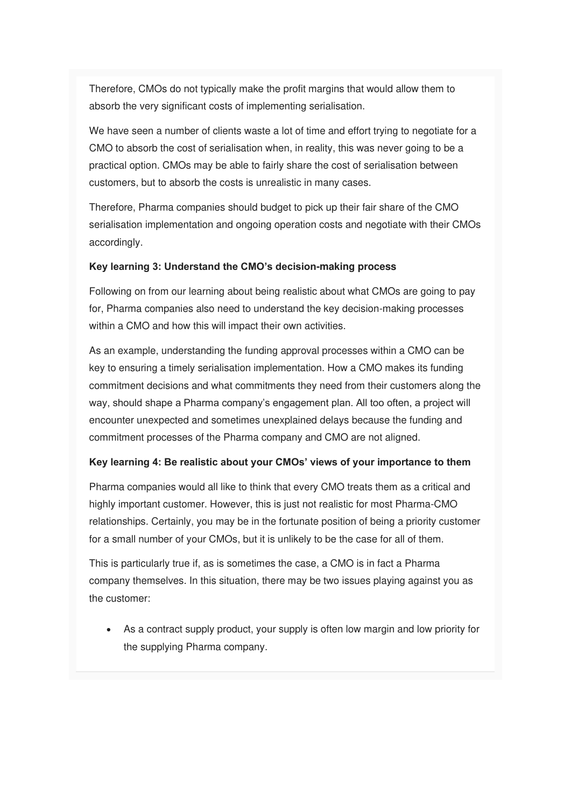Therefore, CMOs do not typically make the profit margins that would allow them to absorb the very significant costs of implementing serialisation.

We have seen a number of clients waste a lot of time and effort trying to negotiate for a CMO to absorb the cost of serialisation when, in reality, this was never going to be a practical option. CMOs may be able to fairly share the cost of serialisation between customers, but to absorb the costs is unrealistic in many cases.

Therefore, Pharma companies should budget to pick up their fair share of the CMO serialisation implementation and ongoing operation costs and negotiate with their CMOs accordingly.

#### **Key learning 3: Understand the CMO's decision-making process**

Following on from our learning about being realistic about what CMOs are going to pay for, Pharma companies also need to understand the key decision-making processes within a CMO and how this will impact their own activities.

As an example, understanding the funding approval processes within a CMO can be key to ensuring a timely serialisation implementation. How a CMO makes its funding commitment decisions and what commitments they need from their customers along the way, should shape a Pharma company's engagement plan. All too often, a project will encounter unexpected and sometimes unexplained delays because the funding and commitment processes of the Pharma company and CMO are not aligned.

#### **Key learning 4: Be realistic about your CMOs' views of your importance to them**

Pharma companies would all like to think that every CMO treats them as a critical and highly important customer. However, this is just not realistic for most Pharma-CMO relationships. Certainly, you may be in the fortunate position of being a priority customer for a small number of your CMOs, but it is unlikely to be the case for all of them.

This is particularly true if, as is sometimes the case, a CMO is in fact a Pharma company themselves. In this situation, there may be two issues playing against you as the customer:

• As a contract supply product, your supply is often low margin and low priority for the supplying Pharma company.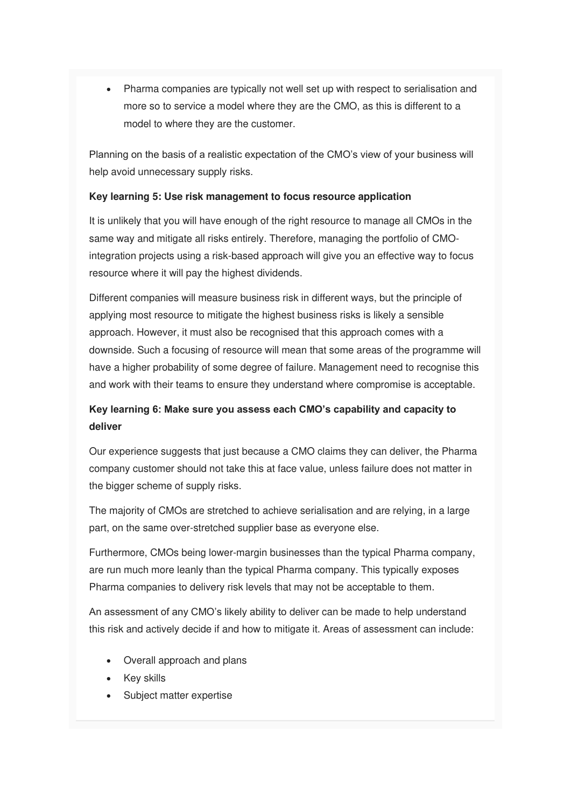• Pharma companies are typically not well set up with respect to serialisation and more so to service a model where they are the CMO, as this is different to a model to where they are the customer.

Planning on the basis of a realistic expectation of the CMO's view of your business will help avoid unnecessary supply risks.

#### **Key learning 5: Use risk management to focus resource application**

It is unlikely that you will have enough of the right resource to manage all CMOs in the same way and mitigate all risks entirely. Therefore, managing the portfolio of CMOintegration projects using a risk-based approach will give you an effective way to focus resource where it will pay the highest dividends.

Different companies will measure business risk in different ways, but the principle of applying most resource to mitigate the highest business risks is likely a sensible approach. However, it must also be recognised that this approach comes with a downside. Such a focusing of resource will mean that some areas of the programme will have a higher probability of some degree of failure. Management need to recognise this and work with their teams to ensure they understand where compromise is acceptable.

### **Key learning 6: Make sure you assess each CMO's capability and capacity to deliver**

Our experience suggests that just because a CMO claims they can deliver, the Pharma company customer should not take this at face value, unless failure does not matter in the bigger scheme of supply risks.

The majority of CMOs are stretched to achieve serialisation and are relying, in a large part, on the same over-stretched supplier base as everyone else.

Furthermore, CMOs being lower-margin businesses than the typical Pharma company, are run much more leanly than the typical Pharma company. This typically exposes Pharma companies to delivery risk levels that may not be acceptable to them.

An assessment of any CMO's likely ability to deliver can be made to help understand this risk and actively decide if and how to mitigate it. Areas of assessment can include:

- Overall approach and plans
- Key skills
- Subject matter expertise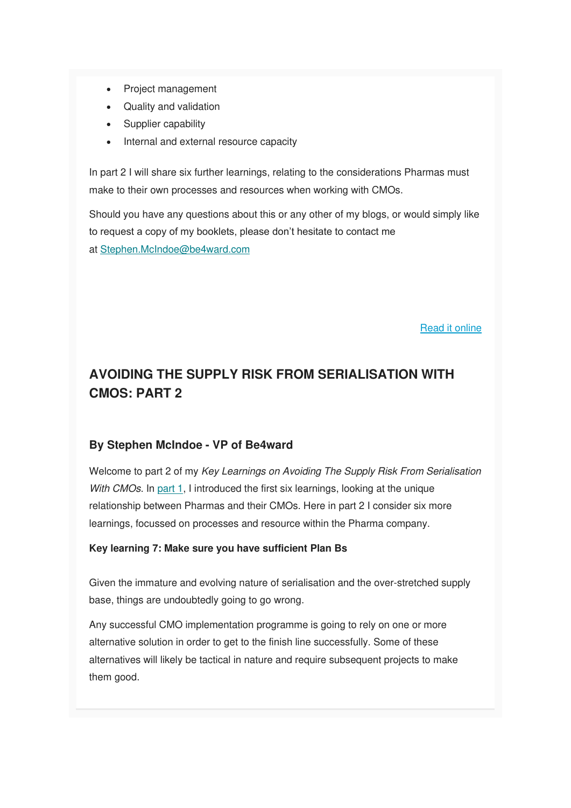- Project management
- Quality and validation
- Supplier capability
- Internal and external resource capacity

In part 2 I will share six further learnings, relating to the considerations Pharmas must make to their own processes and resources when working with CMOs.

Should you have any questions about this or any other of my blogs, or would simply like to request a copy of my booklets, please don't hesitate to contact me at [Stephen.McIndoe@be4ward.com](mailto:Stephen.McIndoe@be4ward.com)

[Read it online](https://www.be4ward.com/blogstephenmcindoe/2019/09/30/avoiding-the-supply-risk-from-serialisation-with-cmos-part-1-2/)

### **AVOIDING THE SUPPLY RISK FROM SERIALISATION WITH CMOS: PART 2**

#### **By Stephen McIndoe - VP of Be4ward**

Welcome to part 2 of my Key Learnings on Avoiding The Supply Risk From Serialisation With CMOs. In [part 1,](https://www.be4ward.com/blogstephenmcindoe/2019/09/30/avoiding-the-supply-risk-from-serialisation-with-cmos-part-1-2/) I introduced the first six learnings, looking at the unique relationship between Pharmas and their CMOs. Here in part 2 I consider six more learnings, focussed on processes and resource within the Pharma company.

#### **Key learning 7: Make sure you have sufficient Plan Bs**

Given the immature and evolving nature of serialisation and the over-stretched supply base, things are undoubtedly going to go wrong.

Any successful CMO implementation programme is going to rely on one or more alternative solution in order to get to the finish line successfully. Some of these alternatives will likely be tactical in nature and require subsequent projects to make them good.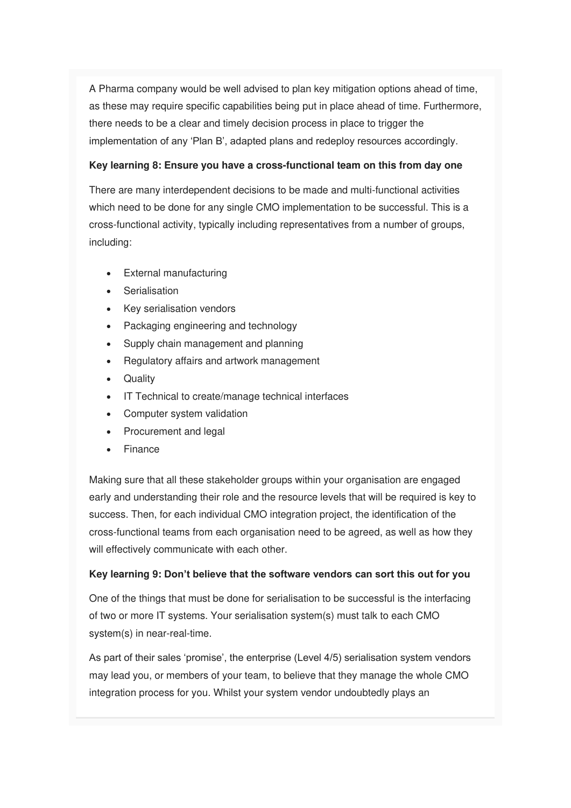A Pharma company would be well advised to plan key mitigation options ahead of time, as these may require specific capabilities being put in place ahead of time. Furthermore, there needs to be a clear and timely decision process in place to trigger the implementation of any 'Plan B', adapted plans and redeploy resources accordingly.

#### **Key learning 8: Ensure you have a cross-functional team on this from day one**

There are many interdependent decisions to be made and multi-functional activities which need to be done for any single CMO implementation to be successful. This is a cross-functional activity, typically including representatives from a number of groups, including:

- External manufacturing
- Serialisation
- Key serialisation vendors
- Packaging engineering and technology
- Supply chain management and planning
- Regulatory affairs and artwork management
- Quality
- IT Technical to create/manage technical interfaces
- Computer system validation
- Procurement and legal
- **Finance**

Making sure that all these stakeholder groups within your organisation are engaged early and understanding their role and the resource levels that will be required is key to success. Then, for each individual CMO integration project, the identification of the cross-functional teams from each organisation need to be agreed, as well as how they will effectively communicate with each other.

#### **Key learning 9: Don't believe that the software vendors can sort this out for you**

One of the things that must be done for serialisation to be successful is the interfacing of two or more IT systems. Your serialisation system(s) must talk to each CMO system(s) in near-real-time.

As part of their sales 'promise', the enterprise (Level 4/5) serialisation system vendors may lead you, or members of your team, to believe that they manage the whole CMO integration process for you. Whilst your system vendor undoubtedly plays an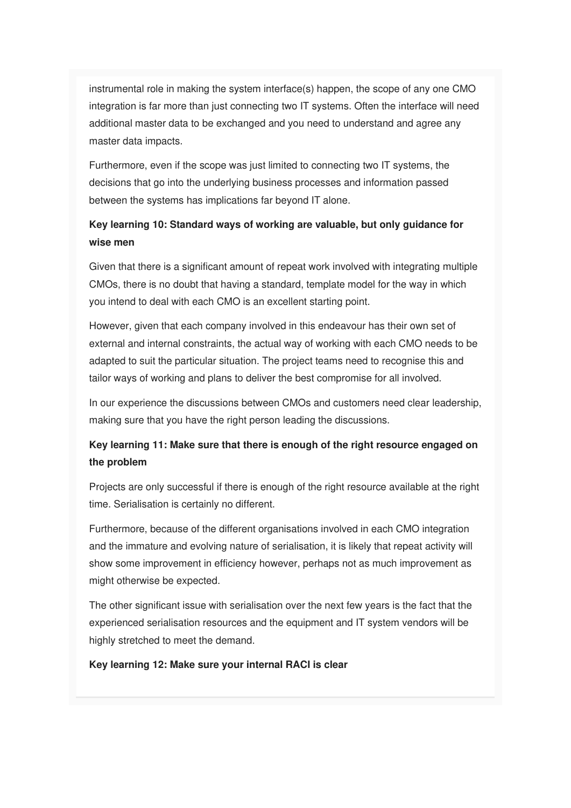instrumental role in making the system interface(s) happen, the scope of any one CMO integration is far more than just connecting two IT systems. Often the interface will need additional master data to be exchanged and you need to understand and agree any master data impacts.

Furthermore, even if the scope was just limited to connecting two IT systems, the decisions that go into the underlying business processes and information passed between the systems has implications far beyond IT alone.

#### **Key learning 10: Standard ways of working are valuable, but only guidance for wise men**

Given that there is a significant amount of repeat work involved with integrating multiple CMOs, there is no doubt that having a standard, template model for the way in which you intend to deal with each CMO is an excellent starting point.

However, given that each company involved in this endeavour has their own set of external and internal constraints, the actual way of working with each CMO needs to be adapted to suit the particular situation. The project teams need to recognise this and tailor ways of working and plans to deliver the best compromise for all involved.

In our experience the discussions between CMOs and customers need clear leadership, making sure that you have the right person leading the discussions.

#### **Key learning 11: Make sure that there is enough of the right resource engaged on the problem**

Projects are only successful if there is enough of the right resource available at the right time. Serialisation is certainly no different.

Furthermore, because of the different organisations involved in each CMO integration and the immature and evolving nature of serialisation, it is likely that repeat activity will show some improvement in efficiency however, perhaps not as much improvement as might otherwise be expected.

The other significant issue with serialisation over the next few years is the fact that the experienced serialisation resources and the equipment and IT system vendors will be highly stretched to meet the demand.

#### **Key learning 12: Make sure your internal RACI is clear**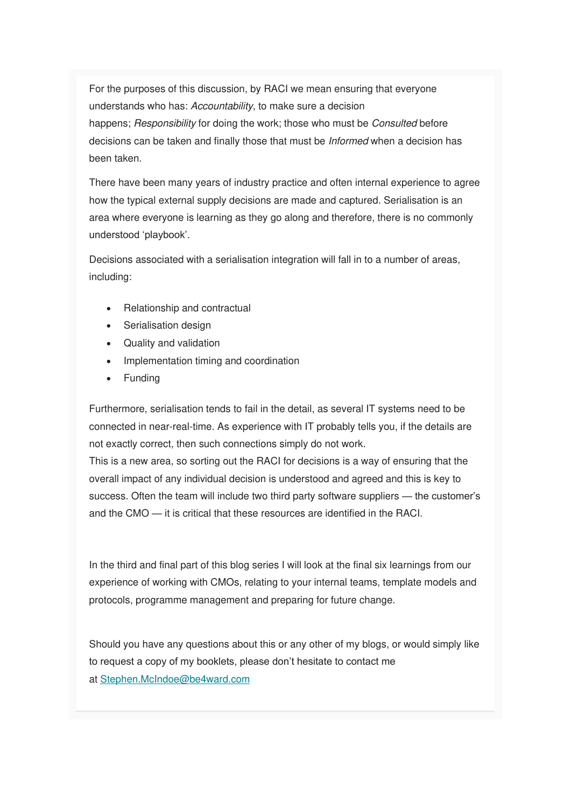For the purposes of this discussion, by RACI we mean ensuring that everyone understands who has: Accountability, to make sure a decision happens; Responsibility for doing the work; those who must be Consulted before decisions can be taken and finally those that must be Informed when a decision has been taken.

There have been many years of industry practice and often internal experience to agree how the typical external supply decisions are made and captured. Serialisation is an area where everyone is learning as they go along and therefore, there is no commonly understood 'playbook'.

Decisions associated with a serialisation integration will fall in to a number of areas, including:

- Relationship and contractual
- Serialisation design
- Quality and validation
- Implementation timing and coordination
- Funding

Furthermore, serialisation tends to fail in the detail, as several IT systems need to be connected in near-real-time. As experience with IT probably tells you, if the details are not exactly correct, then such connections simply do not work.

This is a new area, so sorting out the RACI for decisions is a way of ensuring that the overall impact of any individual decision is understood and agreed and this is key to success. Often the team will include two third party software suppliers — the customer's and the CMO — it is critical that these resources are identified in the RACI.

In the third and final part of this blog series I will look at the final six learnings from our experience of working with CMOs, relating to your internal teams, template models and protocols, programme management and preparing for future change.

Should you have any questions about this or any other of my blogs, or would simply like to request a copy of my booklets, please don't hesitate to contact me at [Stephen.McIndoe@be4ward.com](mailto:Stephen.McIndoe@be4ward.com)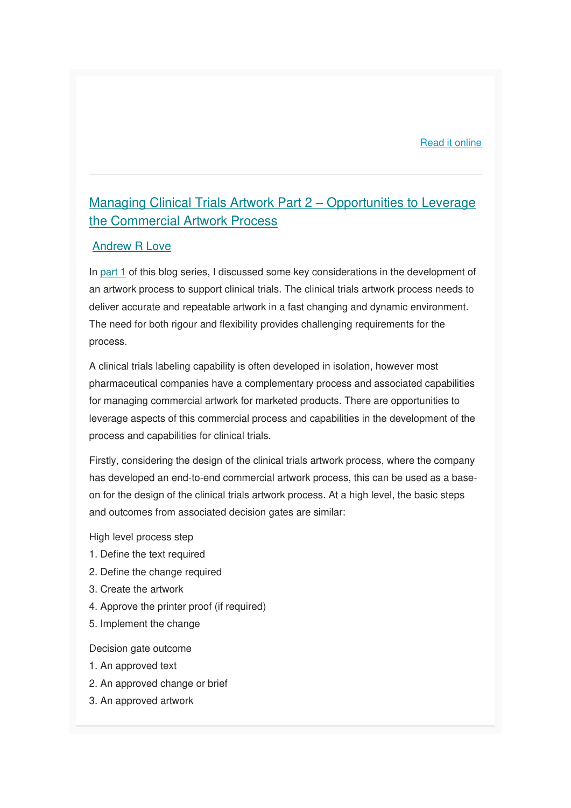#### [Read it online](https://www.be4ward.com/blogstephenmcindoe/2019/10/30/avoiding-the-supply-risk-from-serialisation-with-cmos-part-2-2/)

### [Managing Clinical Trials Artwork Part 2](https://www.be4ward.com/blogandrewrlove/2019/10/31/managing-clinical-trials-artwork-part-2-opportunities-to-leverage-the-commercial-artwork-process/) – Opportunities to Leverage [the Commercial Artwork Process](https://www.be4ward.com/blogandrewrlove/2019/10/31/managing-clinical-trials-artwork-part-2-opportunities-to-leverage-the-commercial-artwork-process/)

#### [Andrew R Love](https://www.be4ward.com/blogandrewrlove/author/stefan/)

In [part 1](https://www.be4ward.com/blogandrewrlove/2019/09/30/managing-clinical-trials-artwork_1/) of this blog series, I discussed some key considerations in the development of an artwork process to support clinical trials. The clinical trials artwork process needs to deliver accurate and repeatable artwork in a fast changing and dynamic environment. The need for both rigour and flexibility provides challenging requirements for the process.

A clinical trials labeling capability is often developed in isolation, however most pharmaceutical companies have a complementary process and associated capabilities for managing commercial artwork for marketed products. There are opportunities to leverage aspects of this commercial process and capabilities in the development of the process and capabilities for clinical trials.

Firstly, considering the design of the clinical trials artwork process, where the company has developed an end-to-end commercial artwork process, this can be used as a baseon for the design of the clinical trials artwork process. At a high level, the basic steps and outcomes from associated decision gates are similar:

High level process step

- 1. Define the text required
- 2. Define the change required
- 3. Create the artwork
- 4. Approve the printer proof (if required)
- 5. Implement the change

Decision gate outcome

- 1. An approved text
- 2. An approved change or brief
- 3. An approved artwork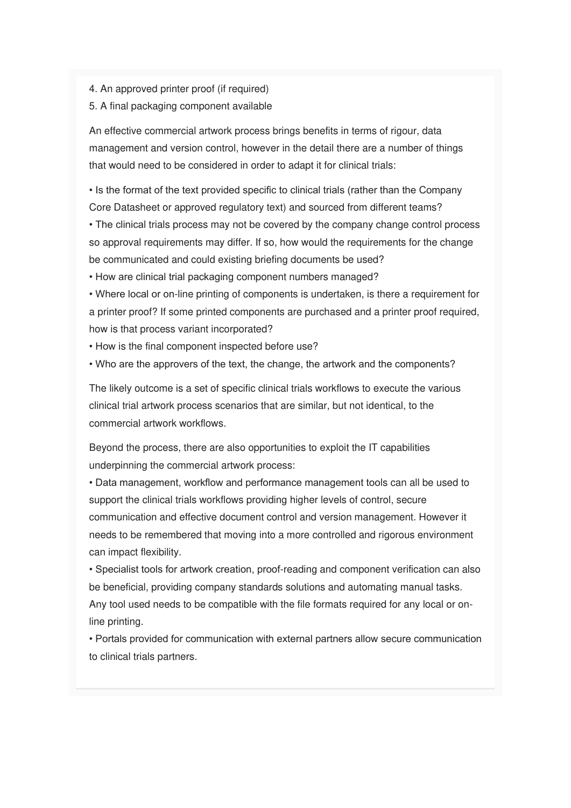- 4. An approved printer proof (if required)
- 5. A final packaging component available

An effective commercial artwork process brings benefits in terms of rigour, data management and version control, however in the detail there are a number of things that would need to be considered in order to adapt it for clinical trials:

• Is the format of the text provided specific to clinical trials (rather than the Company Core Datasheet or approved regulatory text) and sourced from different teams?

• The clinical trials process may not be covered by the company change control process so approval requirements may differ. If so, how would the requirements for the change be communicated and could existing briefing documents be used?

• How are clinical trial packaging component numbers managed?

• Where local or on-line printing of components is undertaken, is there a requirement for a printer proof? If some printed components are purchased and a printer proof required, how is that process variant incorporated?

- How is the final component inspected before use?
- Who are the approvers of the text, the change, the artwork and the components?

The likely outcome is a set of specific clinical trials workflows to execute the various clinical trial artwork process scenarios that are similar, but not identical, to the commercial artwork workflows.

Beyond the process, there are also opportunities to exploit the IT capabilities underpinning the commercial artwork process:

• Data management, workflow and performance management tools can all be used to support the clinical trials workflows providing higher levels of control, secure communication and effective document control and version management. However it needs to be remembered that moving into a more controlled and rigorous environment can impact flexibility.

• Specialist tools for artwork creation, proof-reading and component verification can also be beneficial, providing company standards solutions and automating manual tasks. Any tool used needs to be compatible with the file formats required for any local or online printing.

• Portals provided for communication with external partners allow secure communication to clinical trials partners.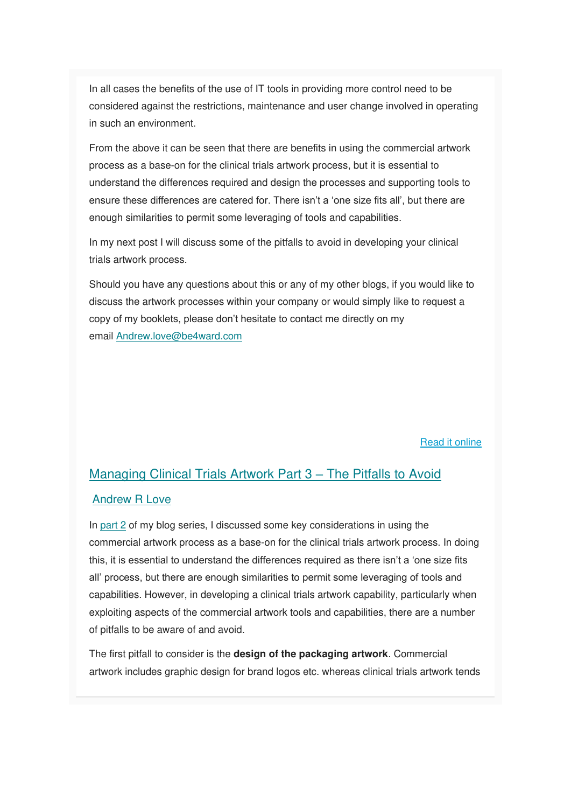In all cases the benefits of the use of IT tools in providing more control need to be considered against the restrictions, maintenance and user change involved in operating in such an environment.

From the above it can be seen that there are benefits in using the commercial artwork process as a base-on for the clinical trials artwork process, but it is essential to understand the differences required and design the processes and supporting tools to ensure these differences are catered for. There isn't a 'one size fits all', but there are enough similarities to permit some leveraging of tools and capabilities.

In my next post I will discuss some of the pitfalls to avoid in developing your clinical trials artwork process.

Should you have any questions about this or any of my other blogs, if you would like to discuss the artwork processes within your company or would simply like to request a copy of my booklets, please don't hesitate to contact me directly on my email [Andrew.love@be4ward.com](mailto:Andrew.love@be4ward.com)

[Read it online](https://www.be4ward.com/blogandrewrlove/2019/10/31/managing-clinical-trials-artwork-part-2-opportunities-to-leverage-the-commercial-artwork-process/)

### [Managing Clinical Trials Artwork Part 3](https://www.be4ward.com/blogandrewrlove/2019/11/30/managing-clinical-trials-artwork-part-3-pitfalls-to-avoid/) – The Pitfalls to Avoid [Andrew R Love](https://www.be4ward.com/blogandrewrlove/author/stefan/)

In [part 2](https://www.be4ward.com/blogandrewrlove/2019/10/31/managing-clinical-trials-artwork-part-2-opportunities-to-leverage-the-commercial-artwork-process/) of my blog series, I discussed some key considerations in using the commercial artwork process as a base-on for the clinical trials artwork process. In doing this, it is essential to understand the differences required as there isn't a 'one size fits all' process, but there are enough similarities to permit some leveraging of tools and capabilities. However, in developing a clinical trials artwork capability, particularly when exploiting aspects of the commercial artwork tools and capabilities, there are a number of pitfalls to be aware of and avoid.

The first pitfall to consider is the **design of the packaging artwork**. Commercial artwork includes graphic design for brand logos etc. whereas clinical trials artwork tends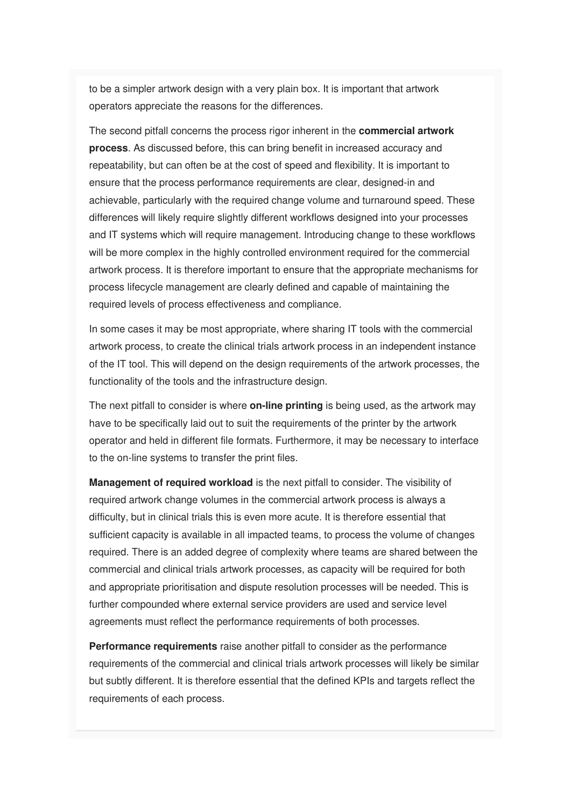to be a simpler artwork design with a very plain box. It is important that artwork operators appreciate the reasons for the differences.

The second pitfall concerns the process rigor inherent in the **commercial artwork process**. As discussed before, this can bring benefit in increased accuracy and repeatability, but can often be at the cost of speed and flexibility. It is important to ensure that the process performance requirements are clear, designed-in and achievable, particularly with the required change volume and turnaround speed. These differences will likely require slightly different workflows designed into your processes and IT systems which will require management. Introducing change to these workflows will be more complex in the highly controlled environment required for the commercial artwork process. It is therefore important to ensure that the appropriate mechanisms for process lifecycle management are clearly defined and capable of maintaining the required levels of process effectiveness and compliance.

In some cases it may be most appropriate, where sharing IT tools with the commercial artwork process, to create the clinical trials artwork process in an independent instance of the IT tool. This will depend on the design requirements of the artwork processes, the functionality of the tools and the infrastructure design.

The next pitfall to consider is where **on-line printing** is being used, as the artwork may have to be specifically laid out to suit the requirements of the printer by the artwork operator and held in different file formats. Furthermore, it may be necessary to interface to the on-line systems to transfer the print files.

**Management of required workload** is the next pitfall to consider. The visibility of required artwork change volumes in the commercial artwork process is always a difficulty, but in clinical trials this is even more acute. It is therefore essential that sufficient capacity is available in all impacted teams, to process the volume of changes required. There is an added degree of complexity where teams are shared between the commercial and clinical trials artwork processes, as capacity will be required for both and appropriate prioritisation and dispute resolution processes will be needed. This is further compounded where external service providers are used and service level agreements must reflect the performance requirements of both processes.

**Performance requirements** raise another pitfall to consider as the performance requirements of the commercial and clinical trials artwork processes will likely be similar but subtly different. It is therefore essential that the defined KPIs and targets reflect the requirements of each process.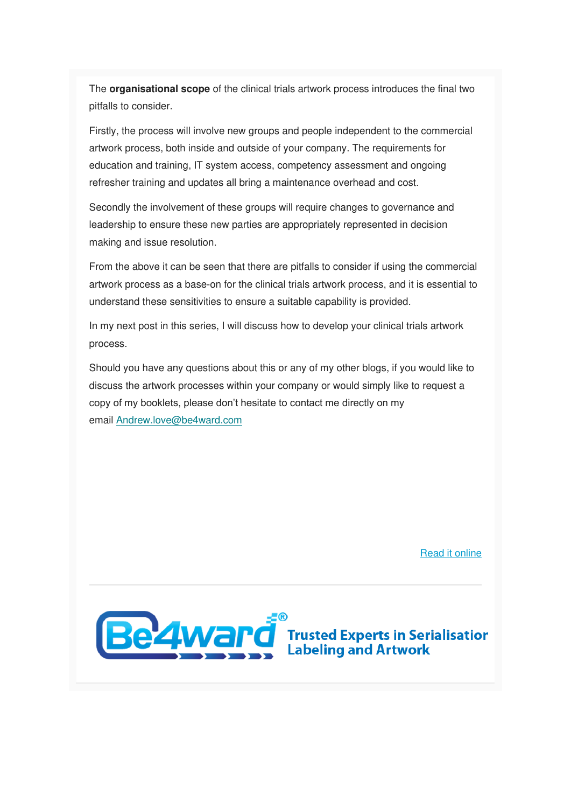The **organisational scope** of the clinical trials artwork process introduces the final two pitfalls to consider.

Firstly, the process will involve new groups and people independent to the commercial artwork process, both inside and outside of your company. The requirements for education and training, IT system access, competency assessment and ongoing refresher training and updates all bring a maintenance overhead and cost.

Secondly the involvement of these groups will require changes to governance and leadership to ensure these new parties are appropriately represented in decision making and issue resolution.

From the above it can be seen that there are pitfalls to consider if using the commercial artwork process as a base-on for the clinical trials artwork process, and it is essential to understand these sensitivities to ensure a suitable capability is provided.

In my next post in this series, I will discuss how to develop your clinical trials artwork process.

Should you have any questions about this or any of my other blogs, if you would like to discuss the artwork processes within your company or would simply like to request a copy of my booklets, please don't hesitate to contact me directly on my email [Andrew.love@be4ward.com](mailto:Andrew.love@be4ward.com)

[Read it online](https://www.be4ward.com/blogandrewrlove/2019/11/30/managing-clinical-trials-artwork-part-3-pitfalls-to-avoid/)